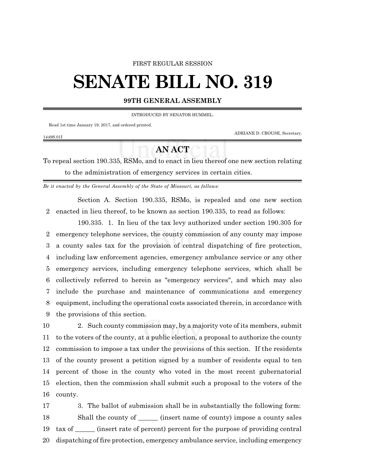#### FIRST REGULAR SESSION

# **SENATE BILL NO. 319**

#### **99TH GENERAL ASSEMBLY**

INTRODUCED BY SENATOR HUMMEL.

Read 1st time January 19, 2017, and ordered printed.

ADRIANE D. CROUSE, Secretary.

### 1449S.01I

## **AN ACT**

To repeal section 190.335, RSMo, and to enact in lieu thereof one new section relating to the administration of emergency services in certain cities.

*Be it enacted by the General Assembly of the State of Missouri, as follows:*

Section A. Section 190.335, RSMo, is repealed and one new section 2 enacted in lieu thereof, to be known as section 190.335, to read as follows:

190.335. 1. In lieu of the tax levy authorized under section 190.305 for emergency telephone services, the county commission of any county may impose a county sales tax for the provision of central dispatching of fire protection, including law enforcement agencies, emergency ambulance service or any other emergency services, including emergency telephone services, which shall be collectively referred to herein as "emergency services", and which may also include the purchase and maintenance of communications and emergency equipment, including the operational costs associated therein, in accordance with the provisions of this section.

 2. Such county commission may, by a majority vote of its members, submit to the voters of the county, at a public election, a proposal to authorize the county commission to impose a tax under the provisions of this section. If the residents of the county present a petition signed by a number of residents equal to ten percent of those in the county who voted in the most recent gubernatorial election, then the commission shall submit such a proposal to the voters of the 16 county.

 3. The ballot of submission shall be in substantially the following form: 18 Shall the county of \_\_\_\_\_\_\_ (insert name of county) impose a county sales tax of \_\_\_\_\_\_ (insert rate of percent) percent for the purpose of providing central dispatching of fire protection, emergency ambulance service, including emergency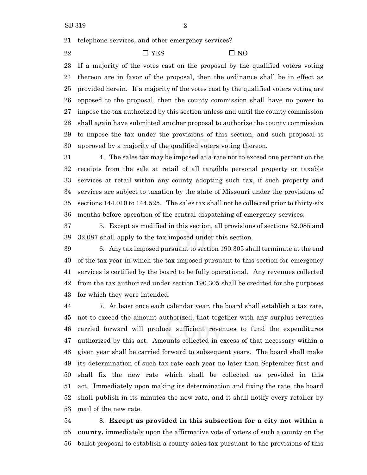telephone services, and other emergency services?

22  $\square$  YES  $\square$  NO

 If a majority of the votes cast on the proposal by the qualified voters voting thereon are in favor of the proposal, then the ordinance shall be in effect as provided herein. If a majority of the votes cast by the qualified voters voting are opposed to the proposal, then the county commission shall have no power to impose the tax authorized by this section unless and until the county commission shall again have submitted another proposal to authorize the county commission to impose the tax under the provisions of this section, and such proposal is approved by a majority of the qualified voters voting thereon.

 4. The sales tax may be imposed at a rate not to exceed one percent on the receipts from the sale at retail of all tangible personal property or taxable services at retail within any county adopting such tax, if such property and services are subject to taxation by the state of Missouri under the provisions of sections 144.010 to 144.525. The sales tax shall not be collected prior to thirty-six months before operation of the central dispatching of emergency services.

 5. Except as modified in this section, all provisions of sections 32.085 and 32.087 shall apply to the tax imposed under this section.

 6. Any tax imposed pursuant to section 190.305 shall terminate at the end of the tax year in which the tax imposed pursuant to this section for emergency services is certified by the board to be fully operational. Any revenues collected from the tax authorized under section 190.305 shall be credited for the purposes for which they were intended.

 7. At least once each calendar year, the board shall establish a tax rate, not to exceed the amount authorized, that together with any surplus revenues carried forward will produce sufficient revenues to fund the expenditures authorized by this act. Amounts collected in excess of that necessary within a given year shall be carried forward to subsequent years. The board shall make its determination of such tax rate each year no later than September first and shall fix the new rate which shall be collected as provided in this act. Immediately upon making its determination and fixing the rate, the board shall publish in its minutes the new rate, and it shall notify every retailer by mail of the new rate.

 8. **Except as provided in this subsection for a city not within a county,** immediately upon the affirmative vote of voters of such a county on the ballot proposal to establish a county sales tax pursuant to the provisions of this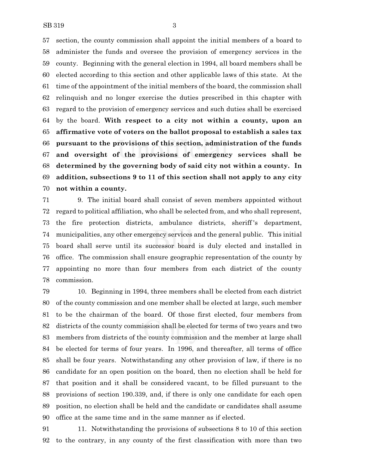section, the county commission shall appoint the initial members of a board to administer the funds and oversee the provision of emergency services in the county. Beginning with the general election in 1994, all board members shall be elected according to this section and other applicable laws of this state. At the time of the appointment of the initial members of the board, the commission shall relinquish and no longer exercise the duties prescribed in this chapter with regard to the provision of emergency services and such duties shall be exercised by the board. **With respect to a city not within a county, upon an affirmative vote of voters on the ballot proposal to establish a sales tax pursuant to the provisions of this section, administration of the funds and oversight of the provisions of emergency services shall be determined by the governing body of said city not within a county. In addition, subsections 9 to 11 of this section shall not apply to any city not within a county.**

 9. The initial board shall consist of seven members appointed without regard to political affiliation, who shall be selected from, and who shall represent, the fire protection districts, ambulance districts, sheriff 's department, municipalities, any other emergency services and the general public. This initial board shall serve until its successor board is duly elected and installed in office. The commission shall ensure geographic representation of the county by appointing no more than four members from each district of the county commission.

 10. Beginning in 1994, three members shall be elected from each district of the county commission and one member shall be elected at large, such member to be the chairman of the board. Of those first elected, four members from districts of the county commission shall be elected for terms of two years and two members from districts of the county commission and the member at large shall be elected for terms of four years. In 1996, and thereafter, all terms of office shall be four years. Notwithstanding any other provision of law, if there is no candidate for an open position on the board, then no election shall be held for that position and it shall be considered vacant, to be filled pursuant to the provisions of section 190.339, and, if there is only one candidate for each open position, no election shall be held and the candidate or candidates shall assume office at the same time and in the same manner as if elected.

 11. Notwithstanding the provisions of subsections 8 to 10 of this section to the contrary, in any county of the first classification with more than two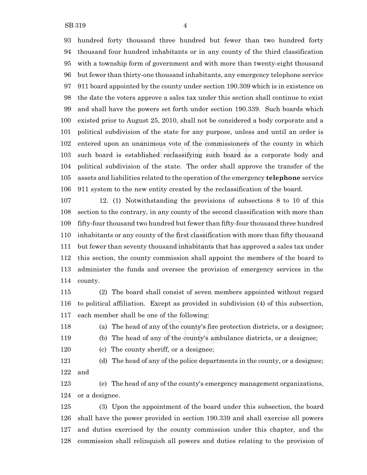hundred forty thousand three hundred but fewer than two hundred forty thousand four hundred inhabitants or in any county of the third classification with a township form of government and with more than twenty-eight thousand but fewer than thirty-one thousand inhabitants, any emergency telephone service 911 board appointed by the county under section 190.309 which is in existence on the date the voters approve a sales tax under this section shall continue to exist and shall have the powers set forth under section 190.339. Such boards which existed prior to August 25, 2010, shall not be considered a body corporate and a political subdivision of the state for any purpose, unless and until an order is entered upon an unanimous vote of the commissioners of the county in which such board is established reclassifying such board as a corporate body and political subdivision of the state. The order shall approve the transfer of the assets and liabilities related to the operation of the emergency **telephone** service 911 system to the new entity created by the reclassification of the board.

 12. (1) Notwithstanding the provisions of subsections 8 to 10 of this section to the contrary, in any county of the second classification with more than fifty-four thousand two hundred but fewer than fifty-four thousand three hundred inhabitants or any county of the first classification with more than fifty thousand but fewer than seventy thousand inhabitants that has approved a sales tax under this section, the county commission shall appoint the members of the board to administer the funds and oversee the provision of emergency services in the county.

 (2) The board shall consist of seven members appointed without regard to political affiliation. Except as provided in subdivision (4) of this subsection, each member shall be one of the following:

(a) The head of any of the county's fire protection districts, or a designee;

(b) The head of any of the county's ambulance districts, or a designee;

(c) The county sheriff, or a designee;

 (d) The head of any of the police departments in the county, or a designee; and

 (e) The head of any of the county's emergency management organizations, or a designee.

 (3) Upon the appointment of the board under this subsection, the board shall have the power provided in section 190.339 and shall exercise all powers and duties exercised by the county commission under this chapter, and the commission shall relinquish all powers and duties relating to the provision of